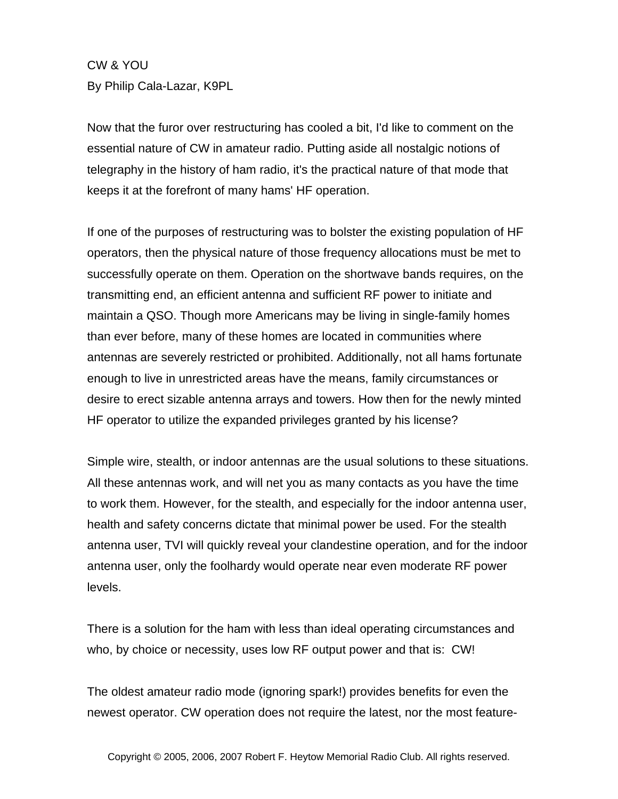CW & YOU By Philip Cala-Lazar, K9PL

Now that the furor over restructuring has cooled a bit, I'd like to comment on the essential nature of CW in amateur radio. Putting aside all nostalgic notions of telegraphy in the history of ham radio, it's the practical nature of that mode that keeps it at the forefront of many hams' HF operation.

If one of the purposes of restructuring was to bolster the existing population of HF operators, then the physical nature of those frequency allocations must be met to successfully operate on them. Operation on the shortwave bands requires, on the transmitting end, an efficient antenna and sufficient RF power to initiate and maintain a QSO. Though more Americans may be living in single-family homes than ever before, many of these homes are located in communities where antennas are severely restricted or prohibited. Additionally, not all hams fortunate enough to live in unrestricted areas have the means, family circumstances or desire to erect sizable antenna arrays and towers. How then for the newly minted HF operator to utilize the expanded privileges granted by his license?

Simple wire, stealth, or indoor antennas are the usual solutions to these situations. All these antennas work, and will net you as many contacts as you have the time to work them. However, for the stealth, and especially for the indoor antenna user, health and safety concerns dictate that minimal power be used. For the stealth antenna user, TVI will quickly reveal your clandestine operation, and for the indoor antenna user, only the foolhardy would operate near even moderate RF power levels.

There is a solution for the ham with less than ideal operating circumstances and who, by choice or necessity, uses low RF output power and that is: CW!

The oldest amateur radio mode (ignoring spark!) provides benefits for even the newest operator. CW operation does not require the latest, nor the most feature